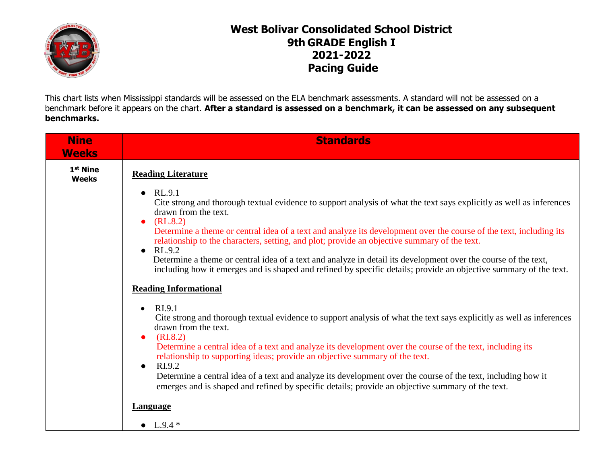

## **West Bolivar Consolidated School District 9th GRADE English I 2021-2022 Pacing Guide**

This chart lists when Mississippi standards will be assessed on the ELA benchmark assessments. A standard will not be assessed on a benchmark before it appears on the chart. **After a standard is assessed on a benchmark, it can be assessed on any subsequent benchmarks.**

| <b>Nine</b><br><b>Weeks</b>          | <b>Standards</b>                                                                                                                                                                                                                          |
|--------------------------------------|-------------------------------------------------------------------------------------------------------------------------------------------------------------------------------------------------------------------------------------------|
| 1 <sup>st</sup> Nine<br><b>Weeks</b> | <b>Reading Literature</b>                                                                                                                                                                                                                 |
|                                      | RL.9.1<br>$\bullet$<br>Cite strong and thorough textual evidence to support analysis of what the text says explicitly as well as inferences<br>drawn from the text.<br>(RL.8.2)<br>$\bullet$                                              |
|                                      | Determine a theme or central idea of a text and analyze its development over the course of the text, including its<br>relationship to the characters, setting, and plot; provide an objective summary of the text.<br>RL.9.2<br>$\bullet$ |
|                                      | Determine a theme or central idea of a text and analyze in detail its development over the course of the text,<br>including how it emerges and is shaped and refined by specific details; provide an objective summary of the text.       |
|                                      | <b>Reading Informational</b>                                                                                                                                                                                                              |
|                                      | RI.9.1<br>$\bullet$<br>Cite strong and thorough textual evidence to support analysis of what the text says explicitly as well as inferences<br>drawn from the text.<br>(RI.8.2)<br>$\bullet$                                              |
|                                      | Determine a central idea of a text and analyze its development over the course of the text, including its<br>relationship to supporting ideas; provide an objective summary of the text.<br>RI.9.2<br>$\bullet$                           |
|                                      | Determine a central idea of a text and analyze its development over the course of the text, including how it<br>emerges and is shaped and refined by specific details; provide an objective summary of the text.                          |
|                                      | Language                                                                                                                                                                                                                                  |
|                                      | • $L.9.4*$                                                                                                                                                                                                                                |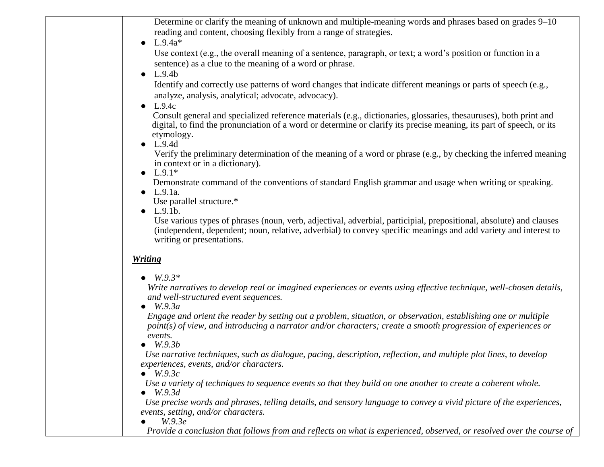| Determine or clarify the meaning of unknown and multiple-meaning words and phrases based on grades 9–10                                                                                                                         |
|---------------------------------------------------------------------------------------------------------------------------------------------------------------------------------------------------------------------------------|
| reading and content, choosing flexibly from a range of strategies.                                                                                                                                                              |
| $L.9.4a*$                                                                                                                                                                                                                       |
| Use context (e.g., the overall meaning of a sentence, paragraph, or text; a word's position or function in a                                                                                                                    |
| sentence) as a clue to the meaning of a word or phrase.                                                                                                                                                                         |
| L.9.4b                                                                                                                                                                                                                          |
| Identify and correctly use patterns of word changes that indicate different meanings or parts of speech (e.g.,<br>analyze, analysis, analytical; advocate, advocacy).                                                           |
| L.9.4c                                                                                                                                                                                                                          |
| Consult general and specialized reference materials (e.g., dictionaries, glossaries, thesauruses), both print and                                                                                                               |
| digital, to find the pronunciation of a word or determine or clarify its precise meaning, its part of speech, or its<br>etymology.                                                                                              |
| $\bullet$ L.9.4d                                                                                                                                                                                                                |
| Verify the preliminary determination of the meaning of a word or phrase (e.g., by checking the inferred meaning<br>in context or in a dictionary).                                                                              |
| • $L.9.1*$<br>Demonstrate command of the conventions of standard English grammar and usage when writing or speaking.                                                                                                            |
| $\bullet$ L.9.1a.                                                                                                                                                                                                               |
| Use parallel structure.*                                                                                                                                                                                                        |
| L.9.1b.                                                                                                                                                                                                                         |
| Use various types of phrases (noun, verb, adjectival, adverbial, participial, prepositional, absolute) and clauses                                                                                                              |
| (independent, dependent; noun, relative, adverbial) to convey specific meanings and add variety and interest to<br>writing or presentations.                                                                                    |
| <b>Writing</b>                                                                                                                                                                                                                  |
| $W.9.3*$                                                                                                                                                                                                                        |
| Write narratives to develop real or imagined experiences or events using effective technique, well-chosen details,<br>and well-structured event sequences.                                                                      |
| $\bullet$ W.9.3a                                                                                                                                                                                                                |
| Engage and orient the reader by setting out a problem, situation, or observation, establishing one or multiple<br>point(s) of view, and introducing a narrator and/or characters; create a smooth progression of experiences or |
| events.<br>W.9.3b                                                                                                                                                                                                               |
| Use narrative techniques, such as dialogue, pacing, description, reflection, and multiple plot lines, to develop                                                                                                                |
| experiences, events, and/or characters.<br>$\bullet$ W.9.3c                                                                                                                                                                     |
| Use a variety of techniques to sequence events so that they build on one another to create a coherent whole.<br>W.9.3d                                                                                                          |
| Use precise words and phrases, telling details, and sensory language to convey a vivid picture of the experiences,<br>events, setting, and/or characters.                                                                       |
| W.9.3e<br>Provide a conclusion that follows from and reflects on what is experienced, observed, or resolved over the course of                                                                                                  |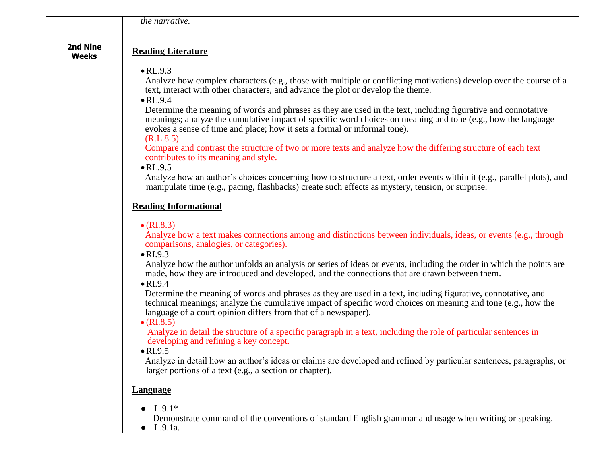|                                 | the narrative.                                                                                                                                                                                                                                                                                                                                                                                                                                                                                                                                                                                                                                                                                                                                                                                                                                                                   |
|---------------------------------|----------------------------------------------------------------------------------------------------------------------------------------------------------------------------------------------------------------------------------------------------------------------------------------------------------------------------------------------------------------------------------------------------------------------------------------------------------------------------------------------------------------------------------------------------------------------------------------------------------------------------------------------------------------------------------------------------------------------------------------------------------------------------------------------------------------------------------------------------------------------------------|
|                                 |                                                                                                                                                                                                                                                                                                                                                                                                                                                                                                                                                                                                                                                                                                                                                                                                                                                                                  |
| <b>2nd Nine</b><br><b>Weeks</b> | <b>Reading Literature</b>                                                                                                                                                                                                                                                                                                                                                                                                                                                                                                                                                                                                                                                                                                                                                                                                                                                        |
|                                 | $\bullet$ RL.9.3<br>Analyze how complex characters (e.g., those with multiple or conflicting motivations) develop over the course of a<br>text, interact with other characters, and advance the plot or develop the theme.<br>$\bullet$ RL.9.4<br>Determine the meaning of words and phrases as they are used in the text, including figurative and connotative<br>meanings; analyze the cumulative impact of specific word choices on meaning and tone (e.g., how the language<br>evokes a sense of time and place; how it sets a formal or informal tone).<br>(R.L.8.5)<br>Compare and contrast the structure of two or more texts and analyze how the differing structure of each text<br>contributes to its meaning and style.<br>$\bullet$ RL.9.5<br>Analyze how an author's choices concerning how to structure a text, order events within it (e.g., parallel plots), and |
|                                 | manipulate time (e.g., pacing, flashbacks) create such effects as mystery, tension, or surprise.<br><b>Reading Informational</b>                                                                                                                                                                                                                                                                                                                                                                                                                                                                                                                                                                                                                                                                                                                                                 |
|                                 | $\bullet$ (RI.8.3)<br>Analyze how a text makes connections among and distinctions between individuals, ideas, or events (e.g., through<br>comparisons, analogies, or categories).<br>$\bullet$ RI.9.3                                                                                                                                                                                                                                                                                                                                                                                                                                                                                                                                                                                                                                                                            |
|                                 | Analyze how the author unfolds an analysis or series of ideas or events, including the order in which the points are<br>made, how they are introduced and developed, and the connections that are drawn between them.<br>$\bullet$ RI.9.4                                                                                                                                                                                                                                                                                                                                                                                                                                                                                                                                                                                                                                        |
|                                 | Determine the meaning of words and phrases as they are used in a text, including figurative, connotative, and<br>technical meanings; analyze the cumulative impact of specific word choices on meaning and tone (e.g., how the<br>language of a court opinion differs from that of a newspaper).<br>$\bullet$ (RI.8.5)                                                                                                                                                                                                                                                                                                                                                                                                                                                                                                                                                           |
|                                 | Analyze in detail the structure of a specific paragraph in a text, including the role of particular sentences in<br>developing and refining a key concept.<br>$\bullet$ RI.9.5                                                                                                                                                                                                                                                                                                                                                                                                                                                                                                                                                                                                                                                                                                   |
|                                 | Analyze in detail how an author's ideas or claims are developed and refined by particular sentences, paragraphs, or<br>larger portions of a text (e.g., a section or chapter).                                                                                                                                                                                                                                                                                                                                                                                                                                                                                                                                                                                                                                                                                                   |
|                                 | <b>Language</b>                                                                                                                                                                                                                                                                                                                                                                                                                                                                                                                                                                                                                                                                                                                                                                                                                                                                  |
|                                 | $L.9.1*$<br>$\bullet$<br>Demonstrate command of the conventions of standard English grammar and usage when writing or speaking.<br>$\bullet$ L.9.1a.                                                                                                                                                                                                                                                                                                                                                                                                                                                                                                                                                                                                                                                                                                                             |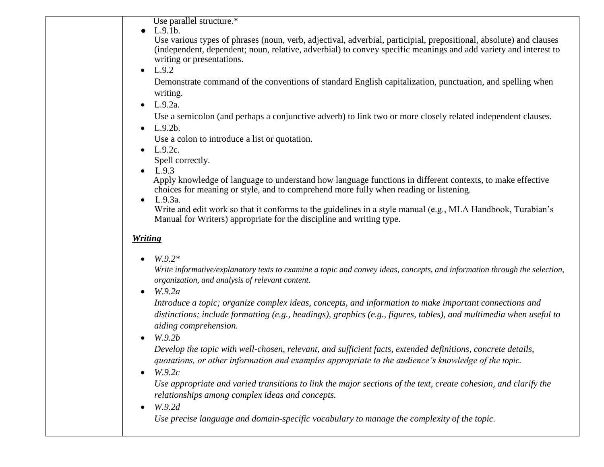Use parallel structure.\*

● L.9.1b.

 Use various types of phrases (noun, verb, adjectival, adverbial, participial, prepositional, absolute) and clauses (independent, dependent; noun, relative, adverbial) to convey specific meanings and add variety and interest to writing or presentations.

 $-L.9.2$ 

 Demonstrate command of the conventions of standard English capitalization, punctuation, and spelling when writing.

 $-L.9.2a.$ 

Use a semicolon (and perhaps a conjunctive adverb) to link two or more closely related independent clauses.

 $-L.9.2b.$ 

Use a colon to introduce a list or quotation.

•  $L.9.2c.$ 

Spell correctly.

 $-L.9.3$ 

 Apply knowledge of language to understand how language functions in different contexts, to make effective choices for meaning or style, and to comprehend more fully when reading or listening.

 $\bullet$  L.9.3a.

Write and edit work so that it conforms to the guidelines in a style manual (e.g., MLA Handbook, Turabian's Manual for Writers) appropriate for the discipline and writing type.

## *Writing*

*W.9.2\**

*Write informative/explanatory texts to examine a topic and convey ideas, concepts, and information through the selection, organization, and analysis of relevant content.*

*W.9.2a*

*Introduce a topic; organize complex ideas, concepts, and information to make important connections and distinctions; include formatting (e.g., headings), graphics (e.g., figures, tables), and multimedia when useful to aiding comprehension.*

*W.9.2b*

*Develop the topic with well-chosen, relevant, and sufficient facts, extended definitions, concrete details, quotations, or other information and examples appropriate to the audience's knowledge of the topic.*

*W.9.2c*

*Use appropriate and varied transitions to link the major sections of the text, create cohesion, and clarify the relationships among complex ideas and concepts.*

*W.9.2d*

 *Use precise language and domain-specific vocabulary to manage the complexity of the topic.*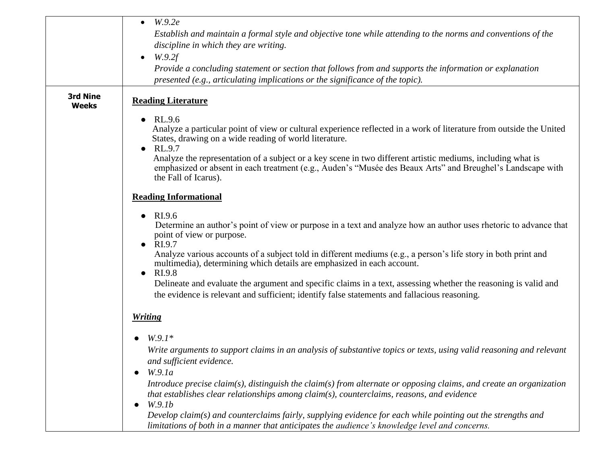|                          | W.9.2e<br>$\bullet$<br>Establish and maintain a formal style and objective tone while attending to the norms and conventions of the<br>discipline in which they are writing.<br>W.9.2f<br>$\bullet$<br>Provide a concluding statement or section that follows from and supports the information or explanation<br>presented (e.g., articulating implications or the significance of the topic).                                                                                                                                                                                                                                                           |
|--------------------------|-----------------------------------------------------------------------------------------------------------------------------------------------------------------------------------------------------------------------------------------------------------------------------------------------------------------------------------------------------------------------------------------------------------------------------------------------------------------------------------------------------------------------------------------------------------------------------------------------------------------------------------------------------------|
| 3rd Nine<br><b>Weeks</b> | <b>Reading Literature</b>                                                                                                                                                                                                                                                                                                                                                                                                                                                                                                                                                                                                                                 |
|                          | RL.9.6<br>$\bullet$<br>Analyze a particular point of view or cultural experience reflected in a work of literature from outside the United<br>States, drawing on a wide reading of world literature.<br>RL.9.7<br>$\bullet$<br>Analyze the representation of a subject or a key scene in two different artistic mediums, including what is<br>emphasized or absent in each treatment (e.g., Auden's "Musée des Beaux Arts" and Breughel's Landscape with<br>the Fall of Icarus).                                                                                                                                                                          |
|                          | <b>Reading Informational</b>                                                                                                                                                                                                                                                                                                                                                                                                                                                                                                                                                                                                                              |
|                          | RI.9.6<br>$\bullet$<br>Determine an author's point of view or purpose in a text and analyze how an author uses rhetoric to advance that<br>point of view or purpose.<br>$\bullet$ RI.9.7<br>Analyze various accounts of a subject told in different mediums (e.g., a person's life story in both print and<br>multimedia), determining which details are emphasized in each account.<br>RI.9.8<br>$\bullet$<br>Delineate and evaluate the argument and specific claims in a text, assessing whether the reasoning is valid and<br>the evidence is relevant and sufficient; identify false statements and fallacious reasoning.                            |
|                          | <b>Writing</b>                                                                                                                                                                                                                                                                                                                                                                                                                                                                                                                                                                                                                                            |
|                          | $W.9.1*$<br>$\bullet$<br>Write arguments to support claims in an analysis of substantive topics or texts, using valid reasoning and relevant<br>and sufficient evidence.<br>W.9.1a<br>$\bullet$<br>Introduce precise claim(s), distinguish the claim(s) from alternate or opposing claims, and create an organization<br>that establishes clear relationships among claim(s), counterclaims, reasons, and evidence<br>W.9.1b<br>$\bullet$<br>Develop claim(s) and counterclaims fairly, supplying evidence for each while pointing out the strengths and<br>limitations of both in a manner that anticipates the audience's knowledge level and concerns. |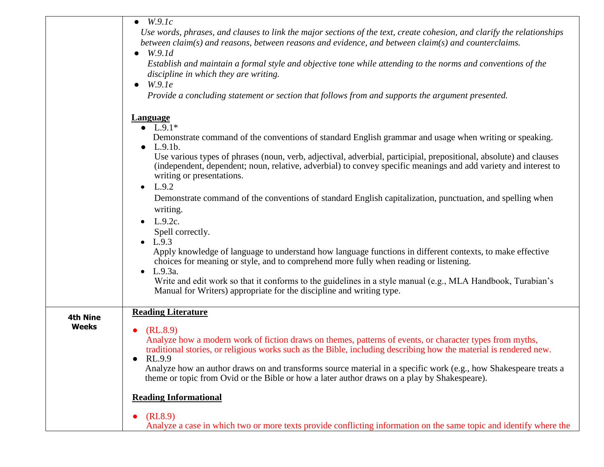|                          | $\bullet$ W.9.1c<br>Use words, phrases, and clauses to link the major sections of the text, create cohesion, and clarify the relationships<br>between claim(s) and reasons, between reasons and evidence, and between claim(s) and counterclaims.<br>$\bullet$ W.9.1d<br>Establish and maintain a formal style and objective tone while attending to the norms and conventions of the<br>discipline in which they are writing.<br>W.9.1e<br>$\bullet$<br>Provide a concluding statement or section that follows from and supports the argument presented.                                                                                                                                                                                                                                                                                                                                                                                                                                                                                    |
|--------------------------|----------------------------------------------------------------------------------------------------------------------------------------------------------------------------------------------------------------------------------------------------------------------------------------------------------------------------------------------------------------------------------------------------------------------------------------------------------------------------------------------------------------------------------------------------------------------------------------------------------------------------------------------------------------------------------------------------------------------------------------------------------------------------------------------------------------------------------------------------------------------------------------------------------------------------------------------------------------------------------------------------------------------------------------------|
|                          | <b>Language</b><br>• $L.9.1*$<br>Demonstrate command of the conventions of standard English grammar and usage when writing or speaking.<br>$\bullet$ L.9.1b.<br>Use various types of phrases (noun, verb, adjectival, adverbial, participial, prepositional, absolute) and clauses<br>(independent, dependent; noun, relative, adverbial) to convey specific meanings and add variety and interest to<br>writing or presentations.<br>• $L.9.2$<br>Demonstrate command of the conventions of standard English capitalization, punctuation, and spelling when<br>writing.<br>L.9.2c.<br>Spell correctly.<br>• $L.9.3$<br>Apply knowledge of language to understand how language functions in different contexts, to make effective<br>choices for meaning or style, and to comprehend more fully when reading or listening.<br>$L.9.3a$ .<br>$\bullet$<br>Write and edit work so that it conforms to the guidelines in a style manual (e.g., MLA Handbook, Turabian's<br>Manual for Writers) appropriate for the discipline and writing type. |
| <b>4th Nine</b><br>Weeks | <b>Reading Literature</b><br>(RL.8.9)<br>$\bullet$<br>Analyze how a modern work of fiction draws on themes, patterns of events, or character types from myths,<br>traditional stories, or religious works such as the Bible, including describing how the material is rendered new.<br>RL.9.9<br>Analyze how an author draws on and transforms source material in a specific work (e.g., how Shakespeare treats a<br>theme or topic from Ovid or the Bible or how a later author draws on a play by Shakespeare).<br><b>Reading Informational</b><br>(RI.8.9)<br>$\bullet$<br>Analyze a case in which two or more texts provide conflicting information on the same topic and identify where the                                                                                                                                                                                                                                                                                                                                             |